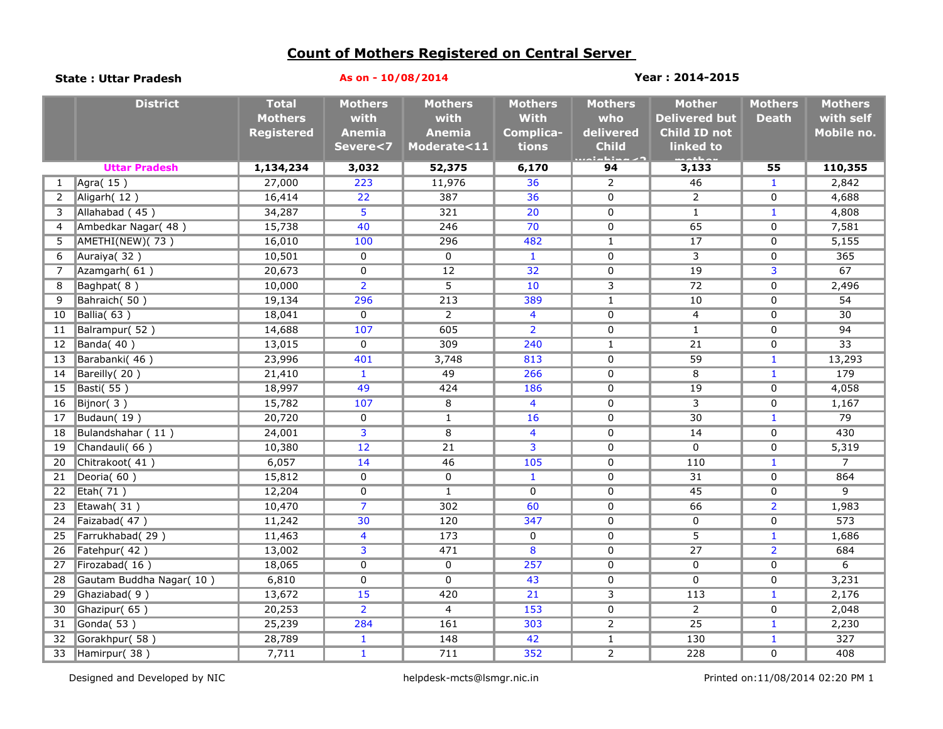## **Count of Mothers Registered on Central Server**

| <b>State: Uttar Pradesh</b> |                          | As on - 10/08/2014                                  |                                         |                                         |                                            | Year: 2014-2015                    |                                                       |                                |                                           |  |  |
|-----------------------------|--------------------------|-----------------------------------------------------|-----------------------------------------|-----------------------------------------|--------------------------------------------|------------------------------------|-------------------------------------------------------|--------------------------------|-------------------------------------------|--|--|
|                             | <b>District</b>          | <b>Total</b><br><b>Mothers</b><br><b>Registered</b> | <b>Mothers</b><br>with<br><b>Anemia</b> | <b>Mothers</b><br>with<br><b>Anemia</b> | <b>Mothers</b><br><b>With</b><br>Complica- | <b>Mothers</b><br>who<br>delivered | <b>Mother</b><br><b>Delivered but</b><br>Child ID not | <b>Mothers</b><br><b>Death</b> | <b>Mothers</b><br>with self<br>Mobile no. |  |  |
|                             |                          |                                                     | Severe<7                                | Moderate<11                             | tions                                      | <b>Child</b><br>والأفراد والمرادي  | linked to<br>والملتقات                                |                                |                                           |  |  |
|                             | <b>Uttar Pradesh</b>     | 1,134,234                                           | 3,032                                   | 52,375                                  | 6,170                                      | 94                                 | 3,133                                                 | 55                             | 110,355                                   |  |  |
| 1                           | $\sqrt{\text{Agra}(15)}$ | 27,000                                              | 223                                     | 11,976                                  | 36                                         | 2                                  | 46                                                    | $\mathbf{1}$                   | 2,842                                     |  |  |
| 2                           | Aligarh (12)             | 16,414                                              | $\overline{22}$                         | 387                                     | 36                                         | $\mathbf 0$                        | $\overline{2}$                                        | $\mathbf 0$                    | 4,688                                     |  |  |
| 3                           | Allahabad (45)           | 34,287                                              | 5                                       | 321                                     | 20                                         | $\mathbf 0$                        | $\mathbf{1}$                                          | $\mathbf{1}$                   | 4,808                                     |  |  |
| 4                           | Ambedkar Nagar(48)       | 15,738                                              | 40                                      | 246                                     | 70                                         | $\mathbf 0$                        | 65                                                    | $\mathbf 0$                    | 7,581                                     |  |  |
| 5                           | AMETHI(NEW)(73)          | 16,010                                              | 100                                     | 296                                     | 482                                        | $\mathbf{1}$                       | 17                                                    | $\mathbf 0$                    | 5,155                                     |  |  |
| 6                           | Auraiya(32)              | 10,501                                              | $\overline{0}$                          | $\Omega$                                | $\mathbf{1}$                               | $\overline{0}$                     | 3                                                     | $\mathbf 0$                    | 365                                       |  |  |
| 7                           | Azamgarh(61)             | 20,673                                              | 0                                       | $\overline{12}$                         | 32                                         | 0                                  | $\overline{19}$                                       | 3                              | 67                                        |  |  |
| 8                           | Baghpat(8)               | 10,000                                              | $\overline{2}$                          | 5                                       | 10                                         | 3                                  | $\overline{72}$                                       | $\mathbf 0$                    | 2,496                                     |  |  |
| 9                           | Bahraich(50)             | 19,134                                              | 296                                     | $\overline{213}$                        | 389                                        | $\mathbf{1}$                       | 10                                                    | $\mathbf 0$                    | 54                                        |  |  |
| 10                          | Ballia(63)               | 18,041                                              | $\mathbf 0$                             | $\overline{2}$                          | $\overline{4}$                             | $\overline{0}$                     | $\overline{4}$                                        | $\mathbf 0$                    | 30                                        |  |  |
| 11                          | Balrampur(52)            | 14,688                                              | 107                                     | 605                                     | $\overline{2}$                             | $\mathbf 0$                        | $\mathbf{1}$                                          | $\Omega$                       | $\overline{94}$                           |  |  |
| 12                          | Banda(40)                | 13,015                                              | $\overline{0}$                          | 309                                     | 240                                        | $\mathbf{1}$                       | $\overline{21}$                                       | $\mathbf 0$                    | $\overline{33}$                           |  |  |
| 13                          | Barabanki(46)            | 23,996                                              | 401                                     | 3,748                                   | 813                                        | $\mathbf 0$                        | $\overline{59}$                                       | $\mathbf{1}$                   | 13,293                                    |  |  |
| 14                          | Bareilly(20)             | 21,410                                              | $\mathbf{1}$                            | 49                                      | 266                                        | $\overline{0}$                     | 8                                                     | $\mathbf{1}$                   | 179                                       |  |  |
| 15                          | <b>Basti(55)</b>         | 18,997                                              | 49                                      | 424                                     | 186                                        | 0                                  | $\overline{19}$                                       | $\mathbf 0$                    | 4,058                                     |  |  |
| 16                          | Bijnor $(3)$             | 15,782                                              | 107                                     | 8                                       | $\overline{4}$                             | 0                                  | 3                                                     | $\mathbf 0$                    | 1,167                                     |  |  |
| 17                          | Budaun(19)               | 20,720                                              | 0                                       | $\mathbf{1}$                            | 16                                         | 0                                  | 30                                                    | $\mathbf{1}$                   | 79                                        |  |  |
| 18                          | Bulandshahar (11)        | 24,001                                              | $\overline{\mathbf{3}}$                 | $\overline{8}$                          | $\overline{4}$                             | $\overline{0}$                     | 14                                                    | $\mathbf 0$                    | 430                                       |  |  |
| 19                          | Chandauli(66)            | 10,380                                              | $\overline{12}$                         | 21                                      | $\overline{3}$                             | 0                                  | $\mathbf 0$                                           | $\mathbf 0$                    | 5,319                                     |  |  |
| 20                          | Chitrakoot(41)           | 6,057                                               | 14                                      | 46                                      | 105                                        | 0                                  | 110                                                   | $\mathbf{1}$                   | $\overline{7}$                            |  |  |
| 21                          | Deoria(60)               | 15,812                                              | $\overline{0}$                          | $\overline{0}$                          | $\mathbf{1}$                               | 0                                  | 31                                                    | 0                              | 864                                       |  |  |
| 22                          | Etah $(71)$              | 12,204                                              | $\overline{0}$                          | $\mathbf{1}$                            | $\overline{0}$                             | $\overline{0}$                     | 45                                                    | $\overline{0}$                 | $\overline{9}$                            |  |  |
| 23                          | Etawah(31)               | 10,470                                              | $\overline{7}$                          | 302                                     | 60                                         | 0                                  | 66                                                    | $\overline{2}$                 | 1,983                                     |  |  |
| 24                          | Faizabad(47)             | 11,242                                              | 30                                      | 120                                     | 347                                        | 0                                  | 0                                                     | $\mathbf 0$                    | 573                                       |  |  |
| 25                          | Farrukhabad(29)          | 11,463                                              | $\overline{4}$                          | 173                                     | $\mathbf 0$                                | 0                                  | $\overline{5}$                                        | $\mathbf{1}$                   | 1,686                                     |  |  |
| 26                          | Fatehpur(42)             | 13,002                                              | $\overline{\mathbf{3}}$                 | 471                                     | $\overline{\mathbf{8}}$                    | 0                                  | $\overline{27}$                                       | $\overline{2}$                 | 684                                       |  |  |
| 27                          | Firozabad(16)            | 18,065                                              | $\overline{0}$                          | $\overline{0}$                          | 257                                        | $\mathbf 0$                        | $\mathbf 0$                                           | $\overline{0}$                 | $\overline{6}$                            |  |  |
| 28                          | Gautam Buddha Nagar(10)  | 6,810                                               | $\overline{0}$                          | $\mathbf 0$                             | 43                                         | $\mathbf 0$                        | $\Omega$                                              | $\Omega$                       | 3,231                                     |  |  |
| 29                          | Ghaziabad(9)             | 13,672                                              | $\overline{15}$                         | 420                                     | $\overline{21}$                            | 3                                  | 113                                                   | $\mathbf{1}$                   | 2,176                                     |  |  |
| 30                          | Ghazipur(65)             | 20,253                                              | $\overline{2}$                          | $\overline{4}$                          | 153                                        | $\overline{0}$                     | $\overline{2}$                                        | $\mathbf 0$                    | 2,048                                     |  |  |
| 31                          | Gonda(53)                | 25,239                                              | 284                                     | 161                                     | 303                                        | $\overline{2}$                     | $\overline{25}$                                       | $\mathbf{1}$                   | 2,230                                     |  |  |
| 32                          | Gorakhpur(58)            | 28,789                                              | $\mathbf{1}$                            | 148                                     | 42                                         | $\mathbf{1}$                       | 130                                                   | $\mathbf{1}$                   | 327                                       |  |  |
| 33                          | Hamirpur(38)             | 7,711                                               | $\mathbf{1}$                            | 711                                     | 352                                        | $\overline{2}$                     | 228                                                   | $\mathbf 0$                    | 408                                       |  |  |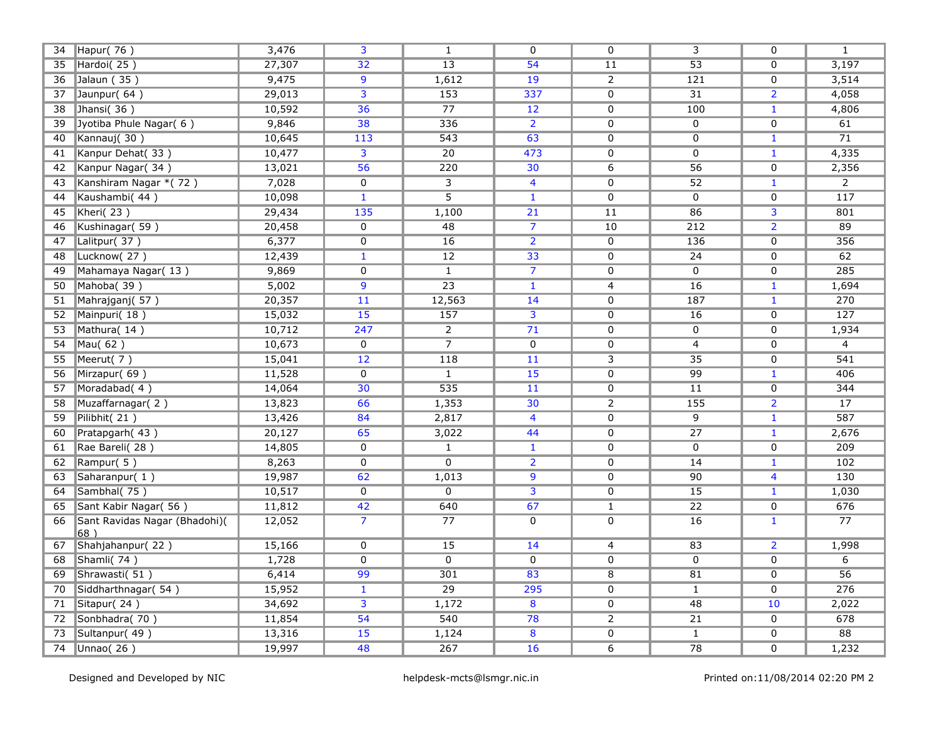| 34 | Hapur(76)                            | 3,476  | 3                       | $\mathbf{1}$     | $\mathbf{0}$            | 0              | 3                | $\mathbf{0}$   | $\mathbf{1}$     |
|----|--------------------------------------|--------|-------------------------|------------------|-------------------------|----------------|------------------|----------------|------------------|
| 35 | Hardoi(25)                           | 27,307 | $\overline{32}$         | $\overline{13}$  | 54                      | 11             | $\overline{53}$  | $\overline{0}$ | 3,197            |
| 36 | Jalaun (35)                          | 9,475  | $\overline{9}$          | 1,612            | 19                      | $\overline{2}$ | $\overline{121}$ | $\mathbf{0}$   | 3,514            |
| 37 | Jaunpur(64)                          | 29,013 | $\overline{\mathbf{3}}$ | 153              | 337                     | $\overline{0}$ | 31               | $\overline{2}$ | 4,058            |
| 38 | Jhansi(36)                           | 10,592 | $\overline{36}$         | $\overline{77}$  | 12                      | $\overline{0}$ | 100              | $\mathbf{1}$   | 4,806            |
| 39 | Jyotiba Phule Nagar( 6)              | 9,846  | 38                      | 336              | $\overline{2}$          | $\mathbf 0$    | $\mathbf 0$      | $\Omega$       | 61               |
| 40 | Kannauj(30)                          | 10,645 | 113                     | 543              | 63                      | $\mathbf 0$    | $\mathbf 0$      | $\mathbf{1}$   | $\overline{71}$  |
| 41 | Kanpur Dehat(33)                     | 10,477 | 3                       | 20               | 473                     | $\mathbf 0$    | $\mathbf 0$      | $\mathbf{1}$   | 4,335            |
| 42 | Kanpur Nagar(34)                     | 13,021 | $\overline{56}$         | 220              | 30                      | $\overline{6}$ | 56               | $\mathbf{0}$   | 2,356            |
| 43 | Kanshiram Nagar * (72)               | 7,028  | 0                       | 3                | 4                       | $\mathbf 0$    | 52               | $\mathbf{1}$   | $\overline{2}$   |
| 44 | Kaushambi(44)                        | 10,098 | $\mathbf{1}$            | $\overline{5}$   | $\mathbf{1}$            | $\mathbf 0$    | $\mathbf 0$      | $\mathbf 0$    | 117              |
| 45 | Kheri(23)                            | 29,434 | 135                     | 1,100            | $\overline{21}$         | 11             | 86               | 3              | 801              |
| 46 | Kushinagar(59)                       | 20,458 | 0                       | $\overline{48}$  | $\overline{7}$          | 10             | 212              | $\overline{2}$ | 89               |
| 47 | Lalitpur(37)                         | 6,377  | $\overline{0}$          | 16               | $\overline{2}$          | $\overline{0}$ | 136              | $\mathbf 0$    | 356              |
| 48 | Lucknow(27)                          | 12,439 | $\mathbf{1}$            | $\overline{12}$  | 33                      | $\overline{0}$ | $\overline{24}$  | $\mathbf 0$    | 62               |
| 49 | Mahamaya Nagar(13)                   | 9,869  | $\overline{0}$          | $\mathbf{1}$     | $\overline{7}$          | $\mathbf 0$    | $\overline{0}$   | $\mathbf 0$    | 285              |
| 50 | Mahoba(39)                           | 5,002  | $\overline{9}$          | $\overline{23}$  | $\mathbf{1}$            | $\overline{4}$ | 16               | $\mathbf{1}$   | 1,694            |
| 51 | Mahrajganj(57)                       | 20,357 | 11                      | 12,563           | 14                      | 0              | 187              | $\mathbf{1}$   | 270              |
| 52 | Mainpuri(18)                         | 15,032 | $\overline{15}$         | 157              | 3                       | 0              | 16               | $\mathbf 0$    | $\overline{127}$ |
| 53 | Mathura(14)                          | 10,712 | 247                     | $\overline{2}$   | $\overline{71}$         | 0              | 0                | $\mathbf{0}$   | 1,934            |
| 54 | $\n  Mau( 62)\n$                     | 10,673 | 0                       | $\overline{7}$   | $\mathbf 0$             | 0              | 4                | $\mathbf 0$    | 4                |
| 55 | Meerut(7)                            | 15,041 | 12                      | 118              | 11                      | $\overline{3}$ | $\overline{35}$  | $\mathbf{0}$   | 541              |
| 56 | Mirzapur(69)                         | 11,528 | 0                       | $\mathbf{1}$     | 15                      | $\mathbf 0$    | 99               | $\mathbf{1}$   | 406              |
| 57 | Moradabad(4)                         | 14,064 | $\overline{30}$         | $\overline{535}$ | 11                      | 0              | 11               | $\mathbf 0$    | 344              |
| 58 | Muzaffarnagar(2)                     | 13,823 | 66                      | 1,353            | 30                      | $\overline{2}$ | 155              | $\overline{2}$ | 17               |
| 59 | Pilibhit(21)                         | 13,426 | 84                      | 2,817            | $\overline{4}$          | $\mathbf 0$    | $\overline{9}$   | $\mathbf{1}$   | 587              |
| 60 | Pratapgarh (43)                      | 20,127 | 65                      | 3,022            | 44                      | $\overline{0}$ | 27               | $\mathbf{1}$   | 2,676            |
| 61 | Rae Bareli(28)                       | 14,805 | $\overline{0}$          | $\mathbf{1}$     | $\mathbf{1}$            | $\overline{0}$ | $\mathbf 0$      | $\overline{0}$ | 209              |
| 62 | Rampur(5)                            | 8,263  | $\overline{0}$          | $\overline{0}$   | $\overline{2}$          | $\overline{0}$ | $\overline{14}$  | $\mathbf{1}$   | 102              |
| 63 | Saharanpur(1)                        | 19,987 | 62                      | 1,013            | $\overline{9}$          | 0              | 90               | $\overline{4}$ | 130              |
| 64 | Sambhal(75)                          | 10,517 | $\overline{0}$          | $\overline{0}$   | $\overline{3}$          | $\overline{0}$ | $\overline{15}$  | $\mathbf{1}$   | 1,030            |
| 65 | Sant Kabir Nagar( 56)                | 11,812 | $\overline{42}$         | 640              | 67                      | $\overline{1}$ | $\overline{22}$  | $\overline{0}$ | 676              |
| 66 | Sant Ravidas Nagar (Bhadohi)(<br>68) | 12,052 | $\overline{7}$          | $\overline{77}$  | 0                       | $\overline{0}$ | $\overline{16}$  | $\mathbf{1}$   | 77               |
| 67 | Shahjahanpur(22)                     | 15,166 | $\overline{0}$          | $\overline{15}$  | 14                      | 4              | 83               | $\overline{2}$ | 1,998            |
| 68 | Shamli(74)                           | 1,728  | 0                       | $\overline{0}$   | $\overline{0}$          | 0              | $\overline{0}$   | $\overline{0}$ | $\overline{6}$   |
| 69 | Shrawasti(51)                        | 6,414  | 99                      | 301              | $\overline{83}$         | $\overline{8}$ | $\overline{81}$  | $\Omega$       | 56               |
| 70 | Siddharthnagar( 54)                  | 15,952 | $\mathbf{1}$            | $\overline{29}$  | 295                     | $\overline{0}$ | $\mathbf{1}$     | $\Omega$       | 276              |
| 71 | Sitapur(24)                          | 34,692 | $\overline{\mathbf{3}}$ | 1,172            | $\overline{\mathbf{8}}$ | $\overline{0}$ | $\overline{48}$  | 10             | 2,022            |
| 72 | Sonbhadra(70)                        | 11,854 | $\overline{54}$         | 540              | 78                      | $\overline{2}$ | 21               | $\mathbf 0$    | 678              |
| 73 | Sultanpur(49)                        | 13,316 | 15                      | 1,124            | 8                       | $\pmb{0}$      | $\mathbf{1}$     | 0              | 88               |
| 74 | Unnao $(26)$                         | 19,997 | 48                      | 267              | 16                      | $\overline{6}$ | $\overline{78}$  | 0              | 1,232            |
|    |                                      |        |                         |                  |                         |                |                  |                |                  |